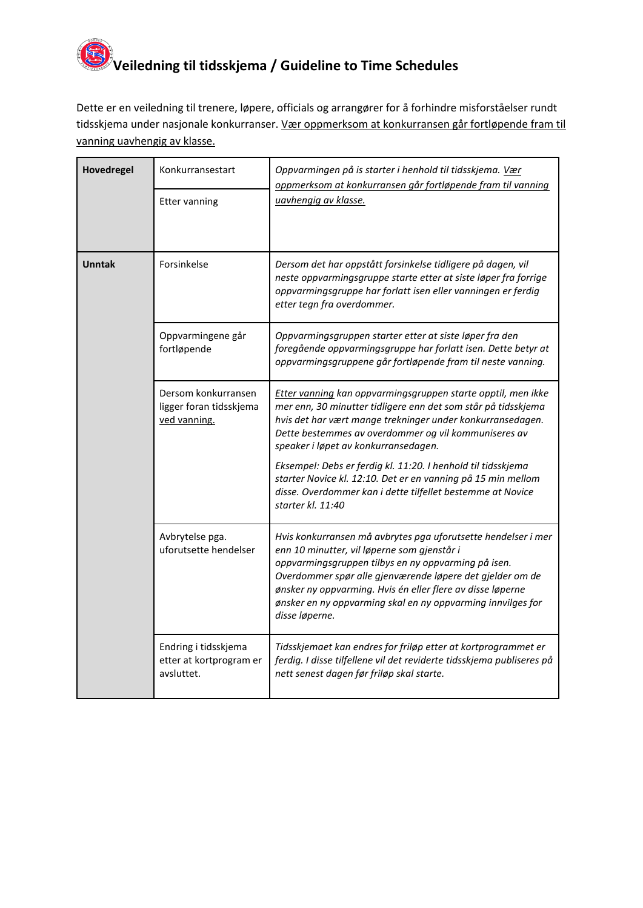## **Veiledning til tidsskjema / Guideline to Time Schedules**

Dette er en veiledning til trenere, løpere, officials og arrangører for å forhindre misforståelser rundt tidsskjema under nasjonale konkurranser. Vær oppmerksom at konkurransen går fortløpende fram til vanning uavhengig av klasse.

| Hovedregel    | Konkurransestart                                               | Oppvarmingen på is starter i henhold til tidsskjema. Vær<br>oppmerksom at konkurransen går fortløpende fram til vanning                                                                                                                                                                                                                                                         |
|---------------|----------------------------------------------------------------|---------------------------------------------------------------------------------------------------------------------------------------------------------------------------------------------------------------------------------------------------------------------------------------------------------------------------------------------------------------------------------|
|               | <b>Etter vanning</b>                                           | uavhengig av klasse.                                                                                                                                                                                                                                                                                                                                                            |
| <b>Unntak</b> | Forsinkelse                                                    | Dersom det har oppstått forsinkelse tidligere på dagen, vil<br>neste oppvarmingsgruppe starte etter at siste løper fra forrige<br>oppvarmingsgruppe har forlatt isen eller vanningen er ferdig<br>etter tegn fra overdommer.                                                                                                                                                    |
|               | Oppvarmingene går<br>fortløpende                               | Oppvarmingsgruppen starter etter at siste løper fra den<br>foregående oppvarmingsgruppe har forlatt isen. Dette betyr at<br>oppvarmingsgruppene går fortløpende fram til neste vanning.                                                                                                                                                                                         |
|               | Dersom konkurransen<br>ligger foran tidsskjema<br>ved vanning. | Etter vanning kan oppvarmingsgruppen starte opptil, men ikke<br>mer enn, 30 minutter tidligere enn det som står på tidsskjema<br>hvis det har vært mange trekninger under konkurransedagen.<br>Dette bestemmes av overdommer og vil kommuniseres av<br>speaker i løpet av konkurransedagen.                                                                                     |
|               |                                                                | Eksempel: Debs er ferdig kl. 11:20. I henhold til tidsskjema<br>starter Novice kl. 12:10. Det er en vanning på 15 min mellom<br>disse. Overdommer kan i dette tilfellet bestemme at Novice<br>starter kl. 11:40                                                                                                                                                                 |
|               | Avbrytelse pga.<br>uforutsette hendelser                       | Hvis konkurransen må avbrytes pga uforutsette hendelser i mer<br>enn 10 minutter, vil løperne som gjenstår i<br>oppvarmingsgruppen tilbys en ny oppvarming på isen.<br>Overdommer spør alle gjenværende løpere det gjelder om de<br>ønsker ny oppvarming. Hvis én eller flere av disse løperne<br>ønsker en ny oppvarming skal en ny oppvarming innvilges for<br>disse løperne. |
|               | Endring i tidsskjema<br>etter at kortprogram er<br>avsluttet.  | Tidsskjemaet kan endres for friløp etter at kortprogrammet er<br>ferdig. I disse tilfellene vil det reviderte tidsskjema publiseres på<br>nett senest dagen før friløp skal starte.                                                                                                                                                                                             |